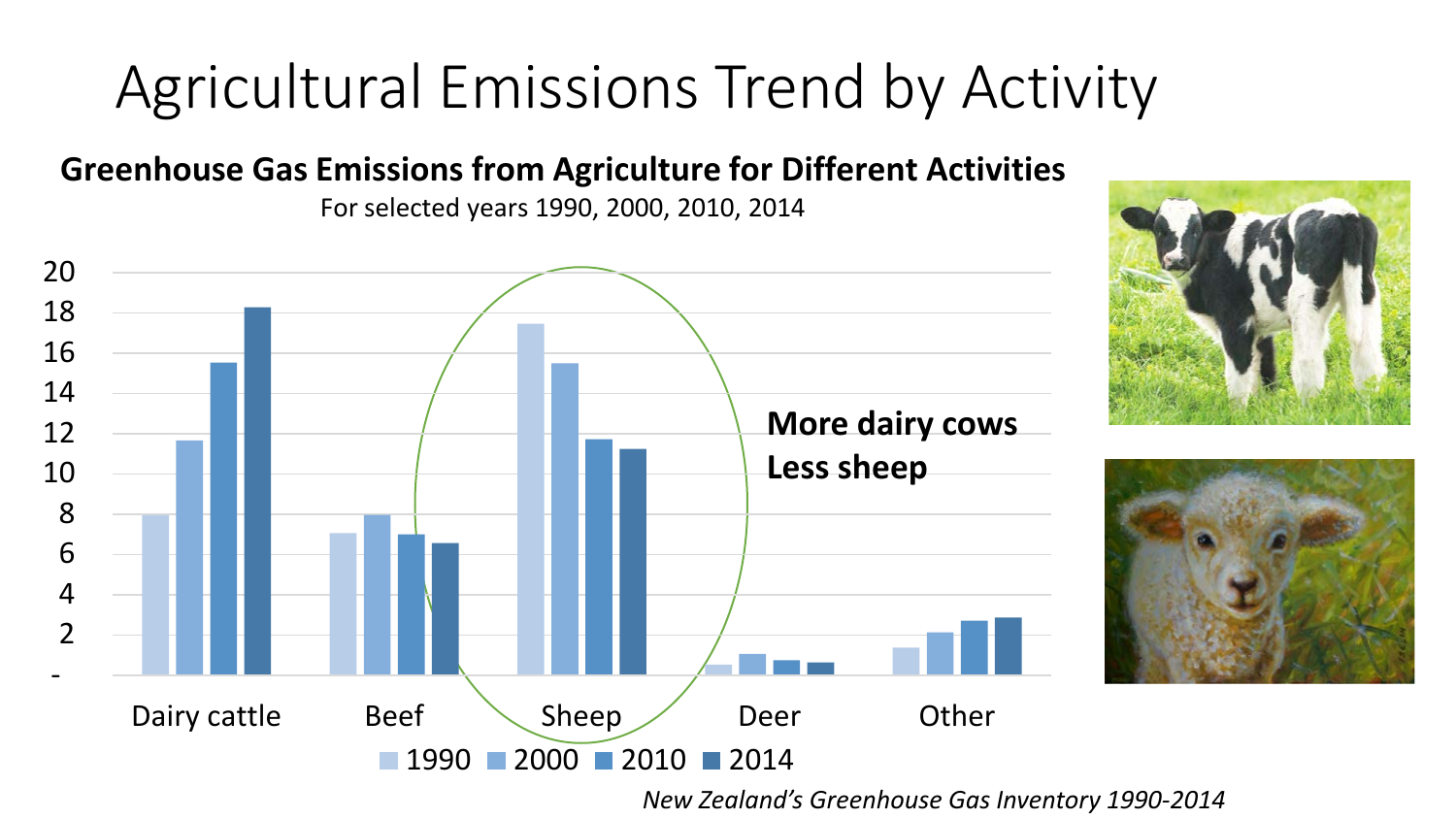# Agricultural Emissions Trend by Activity

**Greenhouse Gas Emissions from Agriculture for Different Activities**

For selected years 1990, 2000, 2010, 2014







*New Zealand's Greenhouse Gas Inventory 1990-2014*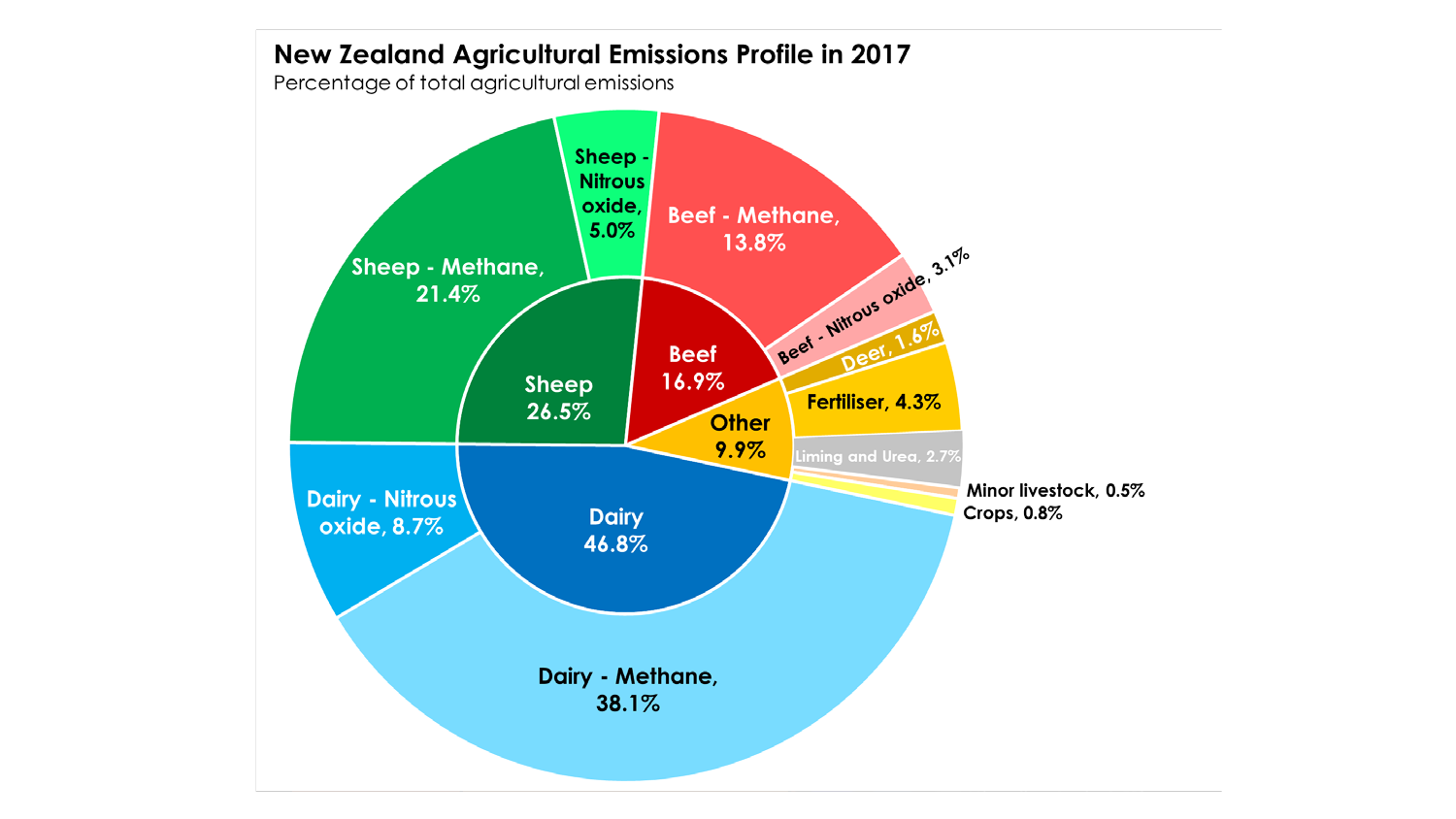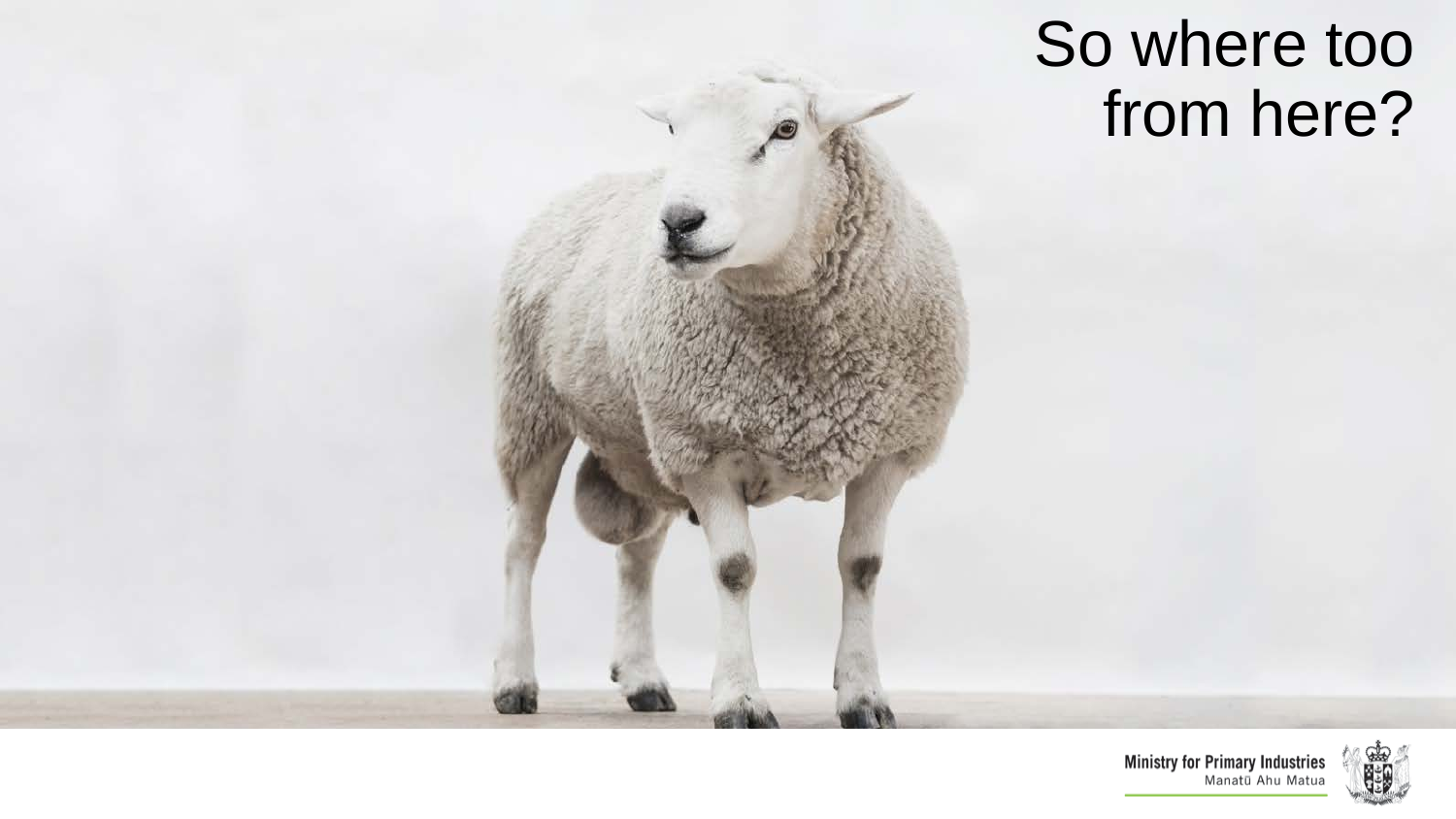



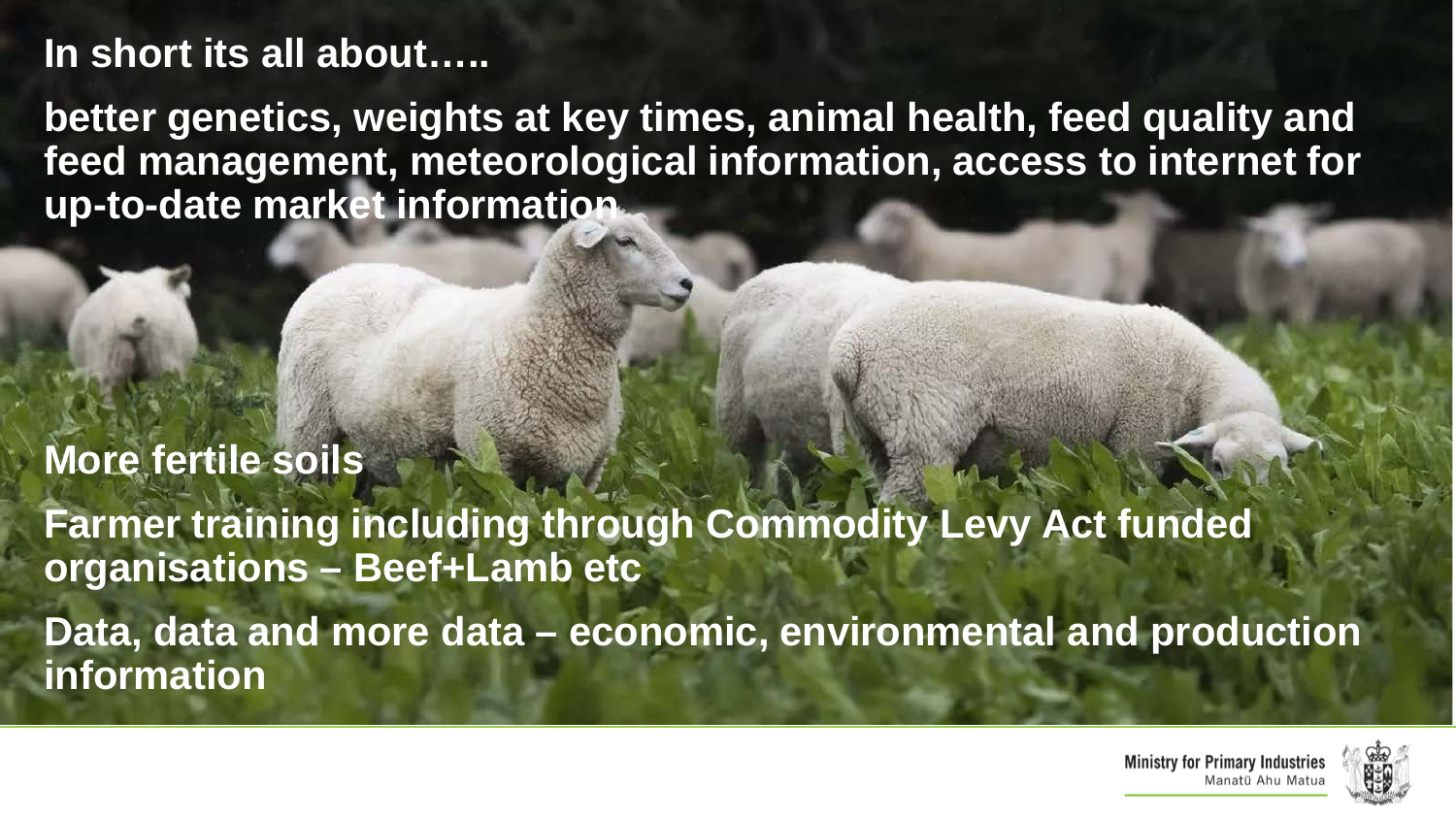#### **In short its all about…..**

**better genetics, weights at key times, animal health, feed quality and feed management, meteorological information, access to internet for up-to-date market information**

#### **More fertile soils**

**Farmer training including through Commodity Levy Act funded organisations – Beef+Lamb etc**

**Data, data and more data – economic, environmental and production information**



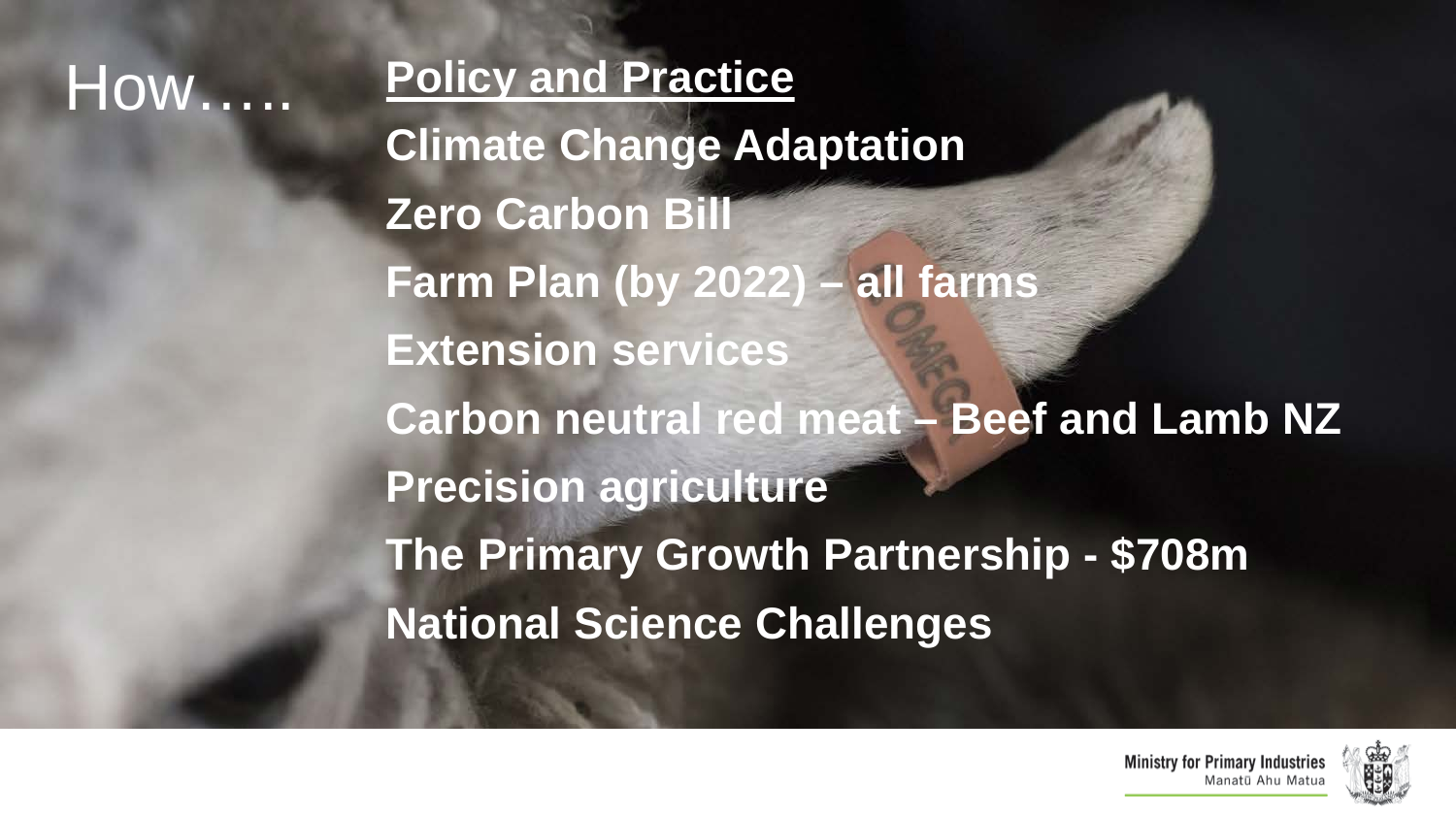## How…..

**Policy and Practice Climate Change Adaptation Zero Carbon Bill Farm Plan (by 2022) – all farms Extension services Carbon neutral red meat – Beef and Lamb NZ Precision agriculture The Primary Growth Partnership - \$708m National Science Challenges** 

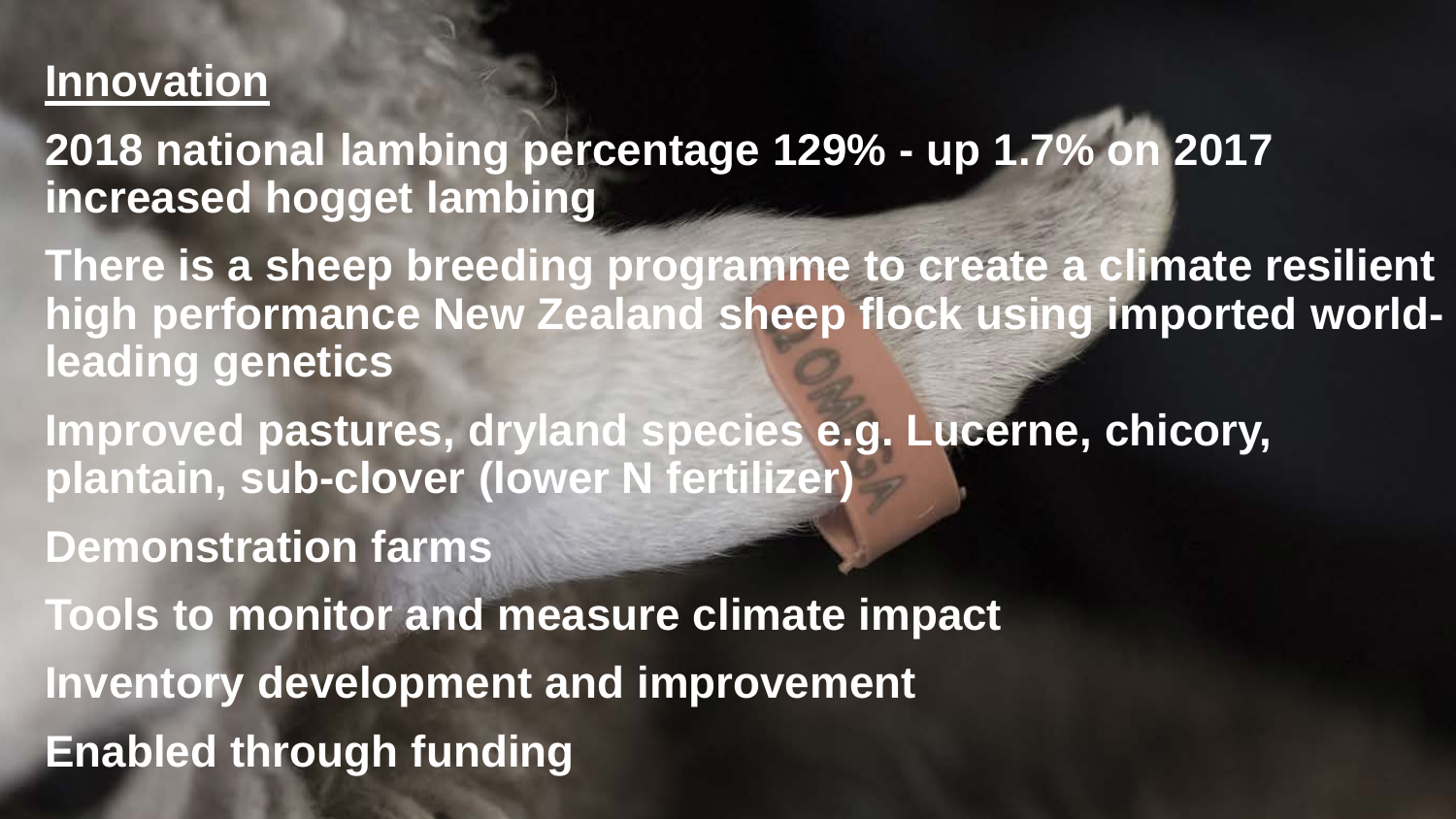### **Innovation**

**2018 national lambing percentage 129% - up 1.7% on 2017 increased hogget lambing**

**There is a sheep breeding programme to create a climate resilient high performance New Zealand sheep flock using imported worldleading genetics**

**Improved pastures, dryland species e.g. Lucerne, chicory, plantain, sub-clover (lower N fertilizer)**

**Demonstration farms**

**Tools to monitor and measure climate impact**

**Inventory development and improvement**

**Enabled through funding**